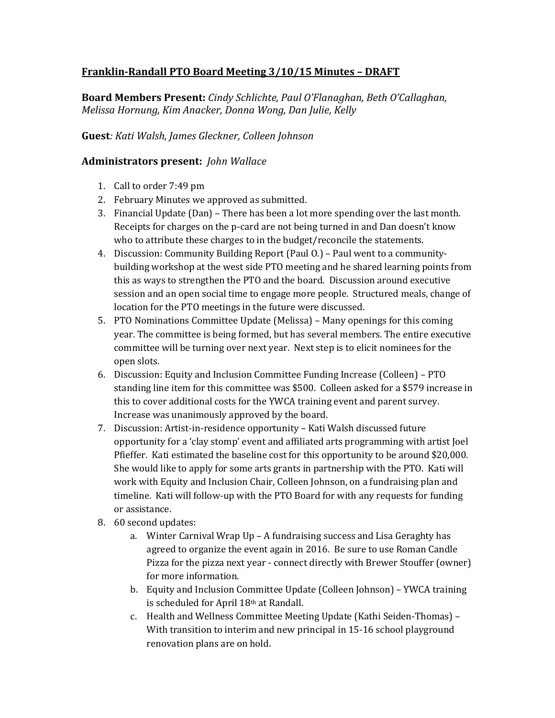## **Franklin-Randall PTO Board Meeting 3/10/15 Minutes – DRAFT**

**Board Members Present:** *Cindy Schlichte, Paul O'Flanaghan, Beth O'Callaghan, Melissa Hornung, Kim Anacker, Donna Wong, Dan Julie, Kelly* 

## **Guest***: Kati Walsh, James Gleckner, Colleen Johnson*

## **Administrators present:** *John Wallace*

- 1. Call to order 7:49 pm
- 2. February Minutes we approved as submitted.
- 3. Financial Update (Dan) There has been a lot more spending over the last month. Receipts for charges on the p-card are not being turned in and Dan doesn't know who to attribute these charges to in the budget/reconcile the statements.
- 4. Discussion: Community Building Report (Paul O.) Paul went to a communitybuilding workshop at the west side PTO meeting and he shared learning points from this as ways to strengthen the PTO and the board. Discussion around executive session and an open social time to engage more people. Structured meals, change of location for the PTO meetings in the future were discussed.
- 5. PTO Nominations Committee Update (Melissa) Many openings for this coming year. The committee is being formed, but has several members. The entire executive committee will be turning over next year. Next step is to elicit nominees for the open slots.
- 6. Discussion: Equity and Inclusion Committee Funding Increase (Colleen) PTO standing line item for this committee was \$500. Colleen asked for a \$579 increase in this to cover additional costs for the YWCA training event and parent survey. Increase was unanimously approved by the board.
- 7. Discussion: Artist-in-residence opportunity Kati Walsh discussed future opportunity for a 'clay stomp' event and affiliated arts programming with artist Joel Pfieffer. Kati estimated the baseline cost for this opportunity to be around \$20,000. She would like to apply for some arts grants in partnership with the PTO. Kati will work with Equity and Inclusion Chair, Colleen Johnson, on a fundraising plan and timeline. Kati will follow-up with the PTO Board for with any requests for funding or assistance.
- 8. 60 second updates:
	- a. Winter Carnival Wrap Up A fundraising success and Lisa Geraghty has agreed to organize the event again in 2016. Be sure to use Roman Candle Pizza for the pizza next year - connect directly with Brewer Stouffer (owner) for more information.
	- b. Equity and Inclusion Committee Update (Colleen Johnson) YWCA training is scheduled for April 18th at Randall.
	- c. Health and Wellness Committee Meeting Update (Kathi Seiden-Thomas) With transition to interim and new principal in 15-16 school playground renovation plans are on hold.